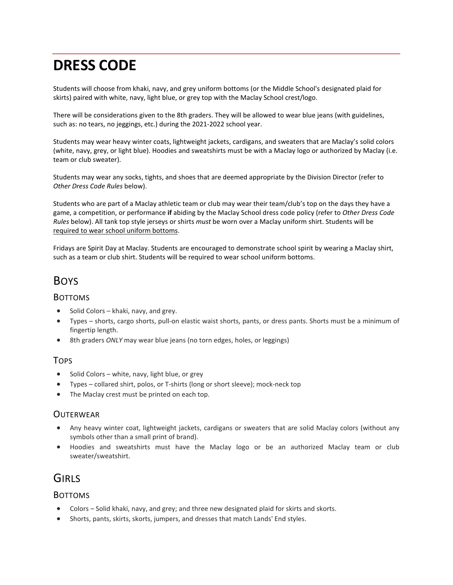# **DRESS CODE**

Students will choose from khaki, navy, and grey uniform bottoms (or the Middle School's designated plaid for skirts) paired with white, navy, light blue, or grey top with the Maclay School crest/logo.

There will be considerations given to the 8th graders. They will be allowed to wear blue jeans (with guidelines, such as: no tears, no jeggings, etc.) during the 2021-2022 school year.

Students may wear heavy winter coats, lightweight jackets, cardigans, and sweaters that are Maclay's solid colors (white, navy, grey, or light blue). Hoodies and sweatshirts must be with a Maclay logo or authorized by Maclay (i.e. team or club sweater).

Students may wear any socks, tights, and shoes that are deemed appropriate by the Division Director (refer to *Other Dress Code Rules* below).

Students who are part of a Maclay athletic team or club may wear their team/club's top on the days they have a game, a competition, or performance **if** abiding by the Maclay School dress code policy (refer to *Other Dress Code Rules* below). All tank top style jerseys or shirts *must* be worn over a Maclay uniform shirt. Students will be required to wear school uniform bottoms.

Fridays are Spirit Day at Maclay. Students are encouraged to demonstrate school spirit by wearing a Maclay shirt, such as a team or club shirt. Students will be required to wear school uniform bottoms.

# BOYS

#### BOTTOMS

- Solid Colors khaki, navy, and grey.
- Types shorts, cargo shorts, pull-on elastic waist shorts, pants, or dress pants. Shorts must be a minimum of fingertip length.
- 8th graders *ONLY* may wear blue jeans (no torn edges, holes, or leggings)

#### TOPS

- Solid Colors white, navy, light blue, or grey
- Types collared shirt, polos, or T-shirts (long or short sleeve); mock-neck top
- The Maclay crest must be printed on each top.

### **OUTERWEAR**

- Any heavy winter coat, lightweight jackets, cardigans or sweaters that are solid Maclay colors (without any symbols other than a small print of brand).
- Hoodies and sweatshirts must have the Maclay logo or be an authorized Maclay team or club sweater/sweatshirt.

# **GIRLS**

### BOTTOMS

- Colors Solid khaki, navy, and grey; and three new designated plaid for skirts and skorts.
- Shorts, pants, skirts, skorts, jumpers, and dresses that match Lands' End styles.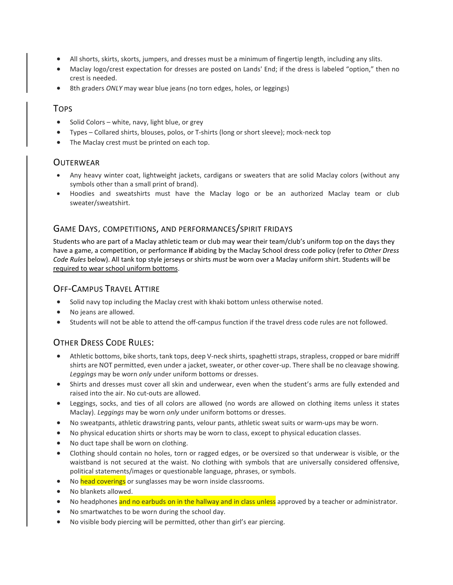- All shorts, skirts, skorts, jumpers, and dresses must be a minimum of fingertip length, including any slits.
- Maclay logo/crest expectation for dresses are posted on Lands' End; if the dress is labeled "option," then no crest is needed.
- 8th graders *ONLY* may wear blue jeans (no torn edges, holes, or leggings)

### TOPS

- Solid Colors white, navy, light blue, or grey
- Types Collared shirts, blouses, polos, or T-shirts (long or short sleeve); mock-neck top
- The Maclay crest must be printed on each top.

### **OUTERWEAR**

- Any heavy winter coat, lightweight jackets, cardigans or sweaters that are solid Maclay colors (without any symbols other than a small print of brand).
- Hoodies and sweatshirts must have the Maclay logo or be an authorized Maclay team or club sweater/sweatshirt.

#### GAME DAYS, COMPETITIONS, AND PERFORMANCES/SPIRIT FRIDAYS

Students who are part of a Maclay athletic team or club may wear their team/club's uniform top on the days they have a game, a competition, or performance **if** abiding by the Maclay School dress code policy (refer to *Other Dress Code Rules* below). All tank top style jerseys or shirts *must* be worn over a Maclay uniform shirt. Students will be required to wear school uniform bottoms.

## OFF-CAMPUS TRAVEL ATTIRE

- Solid navy top including the Maclay crest with khaki bottom unless otherwise noted.
- No jeans are allowed.
- Students will not be able to attend the off-campus function if the travel dress code rules are not followed.

## OTHER DRESS CODE RULES:

- Athletic bottoms, bike shorts, tank tops, deep V-neck shirts, spaghetti straps, strapless, cropped or bare midriff shirts are NOT permitted, even under a jacket, sweater, or other cover-up. There shall be no cleavage showing. *Leggings* may be worn *only* under uniform bottoms or dresses.
- Shirts and dresses must cover all skin and underwear, even when the student's arms are fully extended and raised into the air. No cut-outs are allowed.
- Leggings, socks, and ties of all colors are allowed (no words are allowed on clothing items unless it states Maclay). *Leggings* may be worn *only* under uniform bottoms or dresses.
- No sweatpants, athletic drawstring pants, velour pants, athletic sweat suits or warm-ups may be worn.
- No physical education shirts or shorts may be worn to class, except to physical education classes.
- No duct tape shall be worn on clothing.
- Clothing should contain no holes, torn or ragged edges, or be oversized so that underwear is visible, or the waistband is not secured at the waist. No clothing with symbols that are universally considered offensive, political statements/images or questionable language, phrases, or symbols.
- No head coverings or sunglasses may be worn inside classrooms.
- No blankets allowed.
- No headphones and no earbuds on in the hallway and in class unless approved by a teacher or administrator.
- No smartwatches to be worn during the school day.
- No visible body piercing will be permitted, other than girl's ear piercing.